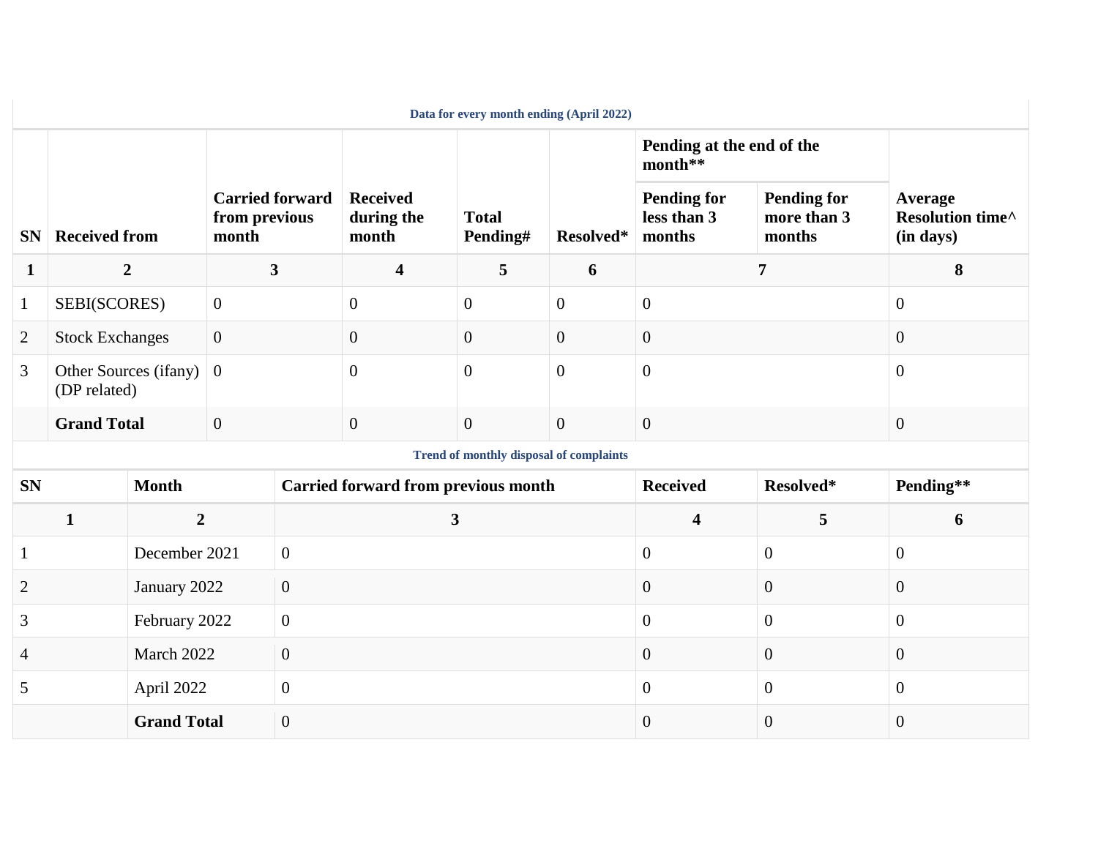| Data for every month ending (April 2022)       |                                       |                    |                         |                                            |                                        |                          |                |                                             |                                             |                                          |
|------------------------------------------------|---------------------------------------|--------------------|-------------------------|--------------------------------------------|----------------------------------------|--------------------------|----------------|---------------------------------------------|---------------------------------------------|------------------------------------------|
|                                                |                                       |                    |                         |                                            |                                        |                          |                | Pending at the end of the<br>month**        |                                             | Average<br>Resolution time^<br>(in days) |
| <b>SN</b>                                      | <b>Received from</b><br>month         |                    |                         | <b>Carried forward</b><br>from previous    | <b>Received</b><br>during the<br>month | <b>Total</b><br>Pending# | Resolved*      | <b>Pending for</b><br>less than 3<br>months | <b>Pending for</b><br>more than 3<br>months |                                          |
| 1                                              | $\overline{2}$                        |                    | $\overline{\mathbf{3}}$ |                                            | $\overline{\mathbf{4}}$                | $5\overline{)}$          | 6              | $\overline{7}$                              |                                             | 8                                        |
| $\mathbf{1}$                                   | SEBI(SCORES)                          |                    | $\overline{0}$          |                                            | $\overline{0}$                         | $\overline{0}$           | $\overline{0}$ | $\mathbf{0}$                                |                                             | $\mathbf{0}$                             |
| $\overline{2}$                                 | <b>Stock Exchanges</b>                |                    | $\overline{0}$          |                                            | $\overline{0}$                         | $\overline{0}$           | $\overline{0}$ | $\overline{0}$                              |                                             | $\mathbf{0}$                             |
| 3                                              | Other Sources (ifany)<br>(DP related) |                    | $\mathbf{0}$            |                                            | $\overline{0}$                         | $\overline{0}$           | $\overline{0}$ | $\overline{0}$                              |                                             | $\overline{0}$                           |
|                                                | <b>Grand Total</b>                    |                    | $\overline{0}$          |                                            | $\overline{0}$                         | $\overline{0}$           | $\overline{0}$ | $\overline{0}$                              |                                             | $\mathbf{0}$                             |
| <b>Trend of monthly disposal of complaints</b> |                                       |                    |                         |                                            |                                        |                          |                |                                             |                                             |                                          |
| <b>SN</b>                                      |                                       | <b>Month</b>       |                         | <b>Carried forward from previous month</b> |                                        |                          |                | <b>Received</b>                             | Resolved*                                   | Pending**                                |
| $\mathbf{1}$                                   |                                       | $\boldsymbol{2}$   |                         | $\mathbf{3}$                               |                                        |                          |                | $\overline{\mathbf{4}}$                     | 5                                           | 6                                        |
| $\mathbf{1}$                                   |                                       | December 2021      |                         | $\overline{0}$                             |                                        |                          |                | $\mathbf{0}$                                | $\mathbf{0}$                                | $\mathbf{0}$                             |
| $\overline{2}$                                 |                                       | January 2022       |                         | $\overline{0}$                             |                                        |                          |                | $\overline{0}$                              | $\mathbf{0}$                                | $\mathbf{0}$                             |
| 3                                              |                                       | February 2022      |                         | $\overline{0}$                             |                                        |                          |                | $\overline{0}$                              | $\boldsymbol{0}$                            | $\mathbf{0}$                             |
| 4                                              |                                       | March 2022         |                         | $\overline{0}$                             |                                        |                          |                | $\mathbf{0}$                                | $\mathbf{0}$                                | $\mathbf{0}$                             |
| 5                                              |                                       | April 2022         |                         | $\overline{0}$                             |                                        |                          |                | $\overline{0}$                              | $\overline{0}$                              | $\overline{0}$                           |
|                                                |                                       | <b>Grand Total</b> |                         | $\overline{0}$                             |                                        |                          |                | $\mathbf{0}$                                | $\boldsymbol{0}$                            | $\boldsymbol{0}$                         |